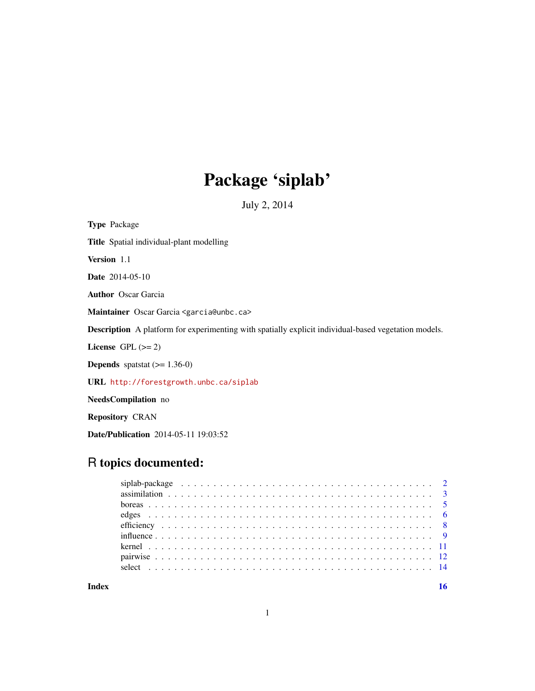# Package 'siplab'

July 2, 2014

Type Package Title Spatial individual-plant modelling Version 1.1 Date 2014-05-10 Author Oscar Garcia Maintainer Oscar Garcia <garcia@unbc.ca> Description A platform for experimenting with spatially explicit individual-based vegetation models. License GPL  $(>= 2)$ **Depends** spatstat  $(>= 1.36-0)$ URL <http://forestgrowth.unbc.ca/siplab> NeedsCompilation no Repository CRAN

Date/Publication 2014-05-11 19:03:52

# R topics documented:

**Index** the contract of the contract of the contract of the contract of the contract of the contract of the contract of the contract of the contract of the contract of the contract of the contract of the contract of the co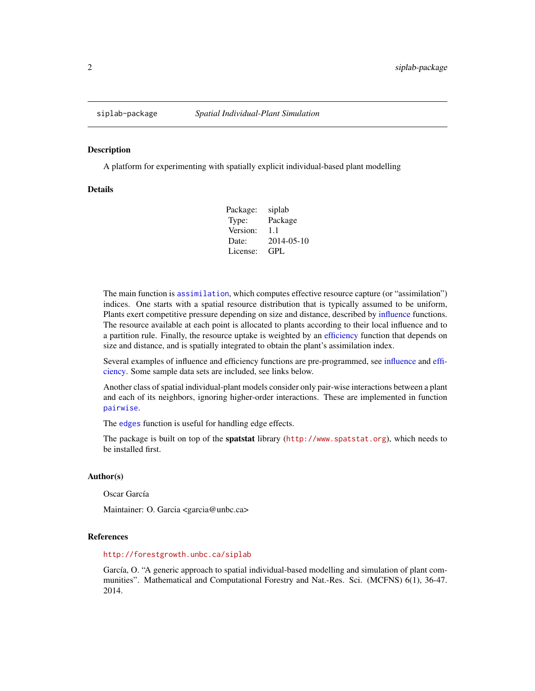<span id="page-1-0"></span>

#### Description

A platform for experimenting with spatially explicit individual-based plant modelling

#### Details

| Package: | siplab     |
|----------|------------|
| Type:    | Package    |
| Version: | 1.1        |
| Date:    | 2014-05-10 |
| License: | GPL.       |

The main function is [assimilation](#page-2-1), which computes effective resource capture (or "assimilation") indices. One starts with a spatial resource distribution that is typically assumed to be uniform, Plants exert competitive pressure depending on size and distance, described by [influence](#page-8-1) functions. The resource available at each point is allocated to plants according to their local influence and to a partition rule. Finally, the resource uptake is weighted by an [efficiency](#page-7-1) function that depends on size and distance, and is spatially integrated to obtain the plant's assimilation index.

Several examples of influence and efficiency functions are pre-programmed, see [influence](#page-8-1) and [effi](#page-7-1)[ciency.](#page-7-1) Some sample data sets are included, see links below.

Another class of spatial individual-plant models consider only pair-wise interactions between a plant and each of its neighbors, ignoring higher-order interactions. These are implemented in function [pairwise](#page-11-1).

The [edges](#page-5-1) function is useful for handling edge effects.

The package is built on top of the spatstat library (<http://www.spatstat.org>), which needs to be installed first.

#### Author(s)

Oscar García

Maintainer: O. Garcia <garcia@unbc.ca>

### References

#### <http://forestgrowth.unbc.ca/siplab>

García, O. "A generic approach to spatial individual-based modelling and simulation of plant communities". Mathematical and Computational Forestry and Nat.-Res. Sci. (MCFNS) 6(1), 36-47. 2014.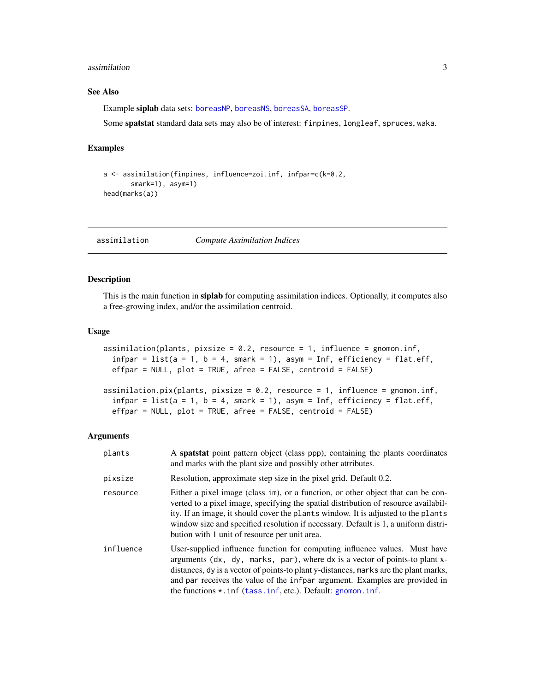#### <span id="page-2-0"></span>assimilation 3

# See Also

Example siplab data sets: [boreasNP](#page-4-1), [boreasNS](#page-4-1), [boreasSA](#page-4-1), [boreasSP](#page-4-1).

Some spatstat standard data sets may also be of interest: finpines, longleaf, spruces, waka.

# Examples

```
a <- assimilation(finpines, influence=zoi.inf, infpar=c(k=0.2,
       smark=1), asym=1)
head(marks(a))
```
<span id="page-2-1"></span>assimilation *Compute Assimilation Indices*

# Description

This is the main function in siplab for computing assimilation indices. Optionally, it computes also a free-growing index, and/or the assimilation centroid.

#### Usage

```
assimilation(plants, pixsize = 0.2, resource = 1, influence = gnomon.inf,
  infpar = list(a = 1, b = 4, smark = 1), asym = Inf, efficiency = flat.eff,
 effpar = NULL, plot = TRUE, afree = FALSE, centroid = FALSE)
assimilation.pix(plants, pixsize = 0.2, resource = 1, influence = gnomon.inf,
  infpar = list(a = 1, b = 4, smark = 1), asym = Inf, efficiency = flat.eff,
  effpar = NULL, plot = TRUE, afree = FALSE, centroid = FALSE)
```
#### Arguments

| plants    | A spatstat point pattern object (class ppp), containing the plants coordinates<br>and marks with the plant size and possibly other attributes.                                                                                                                                                                                                                                                          |
|-----------|---------------------------------------------------------------------------------------------------------------------------------------------------------------------------------------------------------------------------------------------------------------------------------------------------------------------------------------------------------------------------------------------------------|
| pixsize   | Resolution, approximate step size in the pixel grid. Default 0.2.                                                                                                                                                                                                                                                                                                                                       |
| resource  | Either a pixel image (class im), or a function, or other object that can be con-<br>verted to a pixel image, specifying the spatial distribution of resource availabil-<br>ity. If an image, it should cover the plants window. It is adjusted to the plants<br>window size and specified resolution if necessary. Default is 1, a uniform distri-<br>bution with 1 unit of resource per unit area.     |
| influence | User-supplied influence function for computing influence values. Must have<br>arguments (dx, dy, marks, par), where dx is a vector of points-to plant x-<br>distances, dy is a vector of points-to plant y-distances, marks are the plant marks,<br>and par receives the value of the infpar argument. Examples are provided in<br>the functions $\star$ . inf (tass. inf, etc.). Default: gnomon. inf. |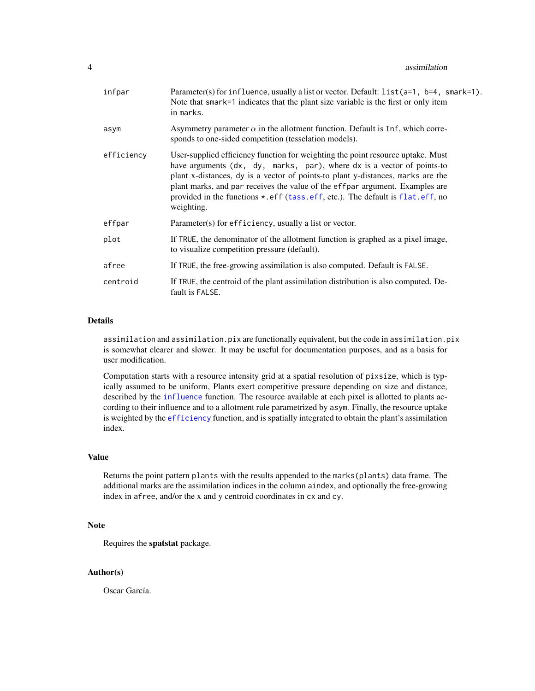<span id="page-3-0"></span>

| infpar     | Parameter(s) for influence, usually a list or vector. Default: $list(a=1, b=4, smart=1)$ .<br>Note that smark=1 indicates that the plant size variable is the first or only item<br>in marks.                                                                                                                                                                                                                                         |
|------------|---------------------------------------------------------------------------------------------------------------------------------------------------------------------------------------------------------------------------------------------------------------------------------------------------------------------------------------------------------------------------------------------------------------------------------------|
| asym       | Asymmetry parameter $\alpha$ in the allotment function. Default is 1nf, which corre-<br>sponds to one-sided competition (tesselation models).                                                                                                                                                                                                                                                                                         |
| efficiency | User-supplied efficiency function for weighting the point resource uptake. Must<br>have arguments (dx, dy, marks, par), where dx is a vector of points-to<br>plant x-distances, dy is a vector of points-to plant y-distances, marks are the<br>plant marks, and par receives the value of the effpar argument. Examples are<br>provided in the functions $\star$ . eff (tass. eff, etc.). The default is flat. eff, no<br>weighting. |
| effpar     | $Parameter(s)$ for efficiency, usually a list or vector.                                                                                                                                                                                                                                                                                                                                                                              |
| plot       | If TRUE, the denominator of the allotment function is graphed as a pixel image,<br>to visualize competition pressure (default).                                                                                                                                                                                                                                                                                                       |
| afree      | If TRUE, the free-growing assimilation is also computed. Default is FALSE.                                                                                                                                                                                                                                                                                                                                                            |
| centroid   | If TRUE, the centroid of the plant assimilation distribution is also computed. De-<br>fault is FALSE.                                                                                                                                                                                                                                                                                                                                 |

# Details

assimilation and assimilation.pix are functionally equivalent, but the code in assimilation.pix is somewhat clearer and slower. It may be useful for documentation purposes, and as a basis for user modification.

Computation starts with a resource intensity grid at a spatial resolution of pixsize, which is typically assumed to be uniform, Plants exert competitive pressure depending on size and distance, described by the [influence](#page-8-1) function. The resource available at each pixel is allotted to plants according to their influence and to a allotment rule parametrized by asym. Finally, the resource uptake is weighted by the [efficiency](#page-7-1) function, and is spatially integrated to obtain the plant's assimilation index.

#### Value

Returns the point pattern plants with the results appended to the marks(plants) data frame. The additional marks are the assimilation indices in the column aindex, and optionally the free-growing index in afree, and/or the x and y centroid coordinates in cx and cy.

### Note

Requires the spatstat package.

# Author(s)

Oscar García.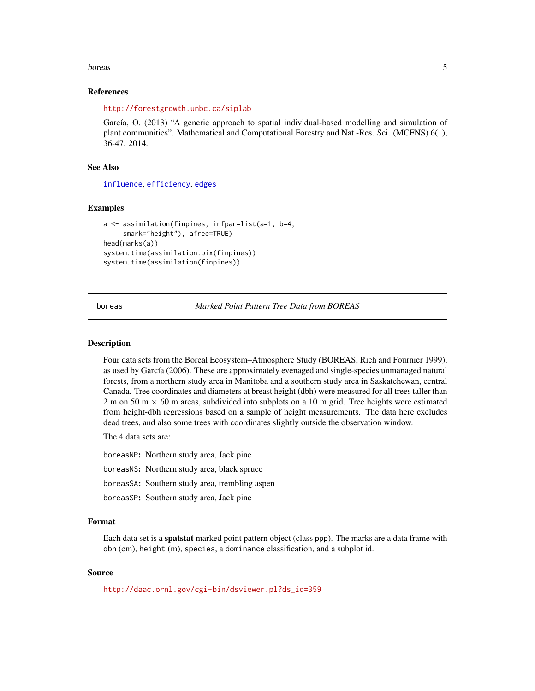#### <span id="page-4-0"></span>boreas 5

#### References

<http://forestgrowth.unbc.ca/siplab>

García, O. (2013) "A generic approach to spatial individual-based modelling and simulation of plant communities". Mathematical and Computational Forestry and Nat.-Res. Sci. (MCFNS) 6(1), 36-47. 2014.

#### See Also

[influence](#page-8-1), [efficiency](#page-7-1), [edges](#page-5-1)

#### Examples

```
a <- assimilation(finpines, infpar=list(a=1, b=4,
     smark="height"), afree=TRUE)
head(marks(a))
system.time(assimilation.pix(finpines))
system.time(assimilation(finpines))
```
boreas *Marked Point Pattern Tree Data from BOREAS*

#### <span id="page-4-1"></span>**Description**

Four data sets from the Boreal Ecosystem–Atmosphere Study (BOREAS, Rich and Fournier 1999), as used by García (2006). These are approximately evenaged and single-species unmanaged natural forests, from a northern study area in Manitoba and a southern study area in Saskatchewan, central Canada. Tree coordinates and diameters at breast height (dbh) were measured for all trees taller than 2 m on 50 m  $\times$  60 m areas, subdivided into subplots on a 10 m grid. Tree heights were estimated from height-dbh regressions based on a sample of height measurements. The data here excludes dead trees, and also some trees with coordinates slightly outside the observation window.

The 4 data sets are:

boreasNP: Northern study area, Jack pine boreasNS: Northern study area, black spruce boreasSA: Southern study area, trembling aspen boreasSP: Southern study area, Jack pine

#### Format

Each data set is a spatstat marked point pattern object (class ppp). The marks are a data frame with dbh (cm), height (m), species, a dominance classification, and a subplot id.

# Source

[http://daac.ornl.gov/cgi-bin/dsviewer.pl?ds\\_id=359](http://daac.ornl.gov/cgi-bin/dsviewer.pl?ds_id=359)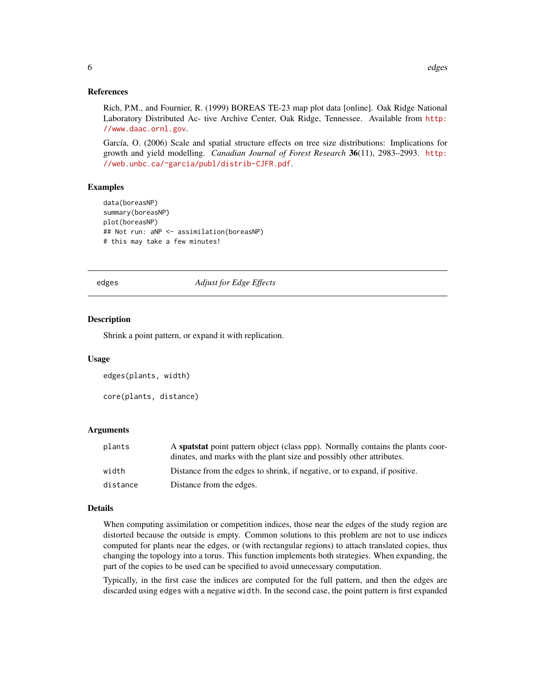#### <span id="page-5-0"></span>References

Rich, P.M., and Fournier, R. (1999) BOREAS TE-23 map plot data [online]. Oak Ridge National Laboratory Distributed Ac- tive Archive Center, Oak Ridge, Tennessee. Available from [http:](http://www.daac.ornl.gov) [//www.daac.ornl.gov](http://www.daac.ornl.gov).

García, O. (2006) Scale and spatial structure effects on tree size distributions: Implications for growth and yield modelling. *Canadian Journal of Forest Research* 36(11), 2983–2993. [http:](http://web.unbc.ca/~garcia/publ/distrib-CJFR.pdf) [//web.unbc.ca/~garcia/publ/distrib-CJFR.pdf](http://web.unbc.ca/~garcia/publ/distrib-CJFR.pdf).

# Examples

```
data(boreasNP)
summary(boreasNP)
plot(boreasNP)
## Not run: aNP <- assimilation(boreasNP)
# this may take a few minutes!
```
<span id="page-5-1"></span>edges *Adjust for Edge Effects*

#### Description

Shrink a point pattern, or expand it with replication.

#### Usage

```
edges(plants, width)
core(plants, distance)
```
#### Arguments

| plants   | A spatiation pattern object (class ppp). Normally contains the plants coor- |
|----------|-----------------------------------------------------------------------------|
|          | dinates, and marks with the plant size and possibly other attributes.       |
| width    | Distance from the edges to shrink, if negative, or to expand, if positive.  |
| distance | Distance from the edges.                                                    |

#### Details

When computing assimilation or competition indices, those near the edges of the study region are distorted because the outside is empty. Common solutions to this problem are not to use indices computed for plants near the edges, or (with rectangular regions) to attach translated copies, thus changing the topology into a torus. This function implements both strategies. When expanding, the part of the copies to be used can be specified to avoid unnecessary computation.

Typically, in the first case the indices are computed for the full pattern, and then the edges are discarded using edges with a negative width. In the second case, the point pattern is first expanded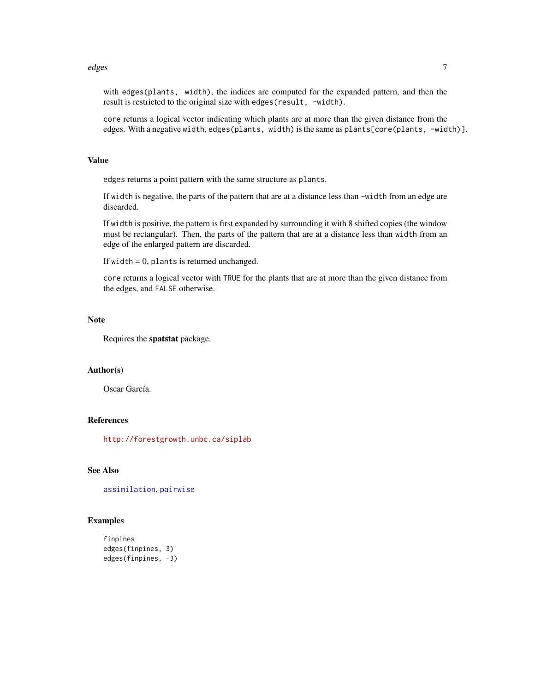#### <span id="page-6-0"></span>edges and the contract of the contract of the contract of the contract of the contract of the contract of the contract of the contract of the contract of the contract of the contract of the contract of the contract of the

with edges(plants, width), the indices are computed for the expanded pattern, and then the result is restricted to the original size with edges (result, -width).

core returns a logical vector indicating which plants are at more than the given distance from the edges. With a negative width, edges(plants, width) is the same as plants[core(plants, -width)].

#### Value

edges returns a point pattern with the same structure as plants.

If width is negative, the parts of the pattern that are at a distance less than -width from an edge are discarded.

If width is positive, the pattern is first expanded by surrounding it with 8 shifted copies (the window must be rectangular). Then, the parts of the pattern that are at a distance less than width from an edge of the enlarged pattern are discarded.

If width  $= 0$ , plants is returned unchanged.

core returns a logical vector with TRUE for the plants that are at more than the given distance from the edges, and FALSE otherwise.

#### Note

Requires the spatstat package.

# Author(s)

Oscar García.

# References

<http://forestgrowth.unbc.ca/siplab>

# See Also

[assimilation](#page-2-1), [pairwise](#page-11-1)

#### Examples

```
finpines
edges(finpines, 3)
edges(finpines, -3)
```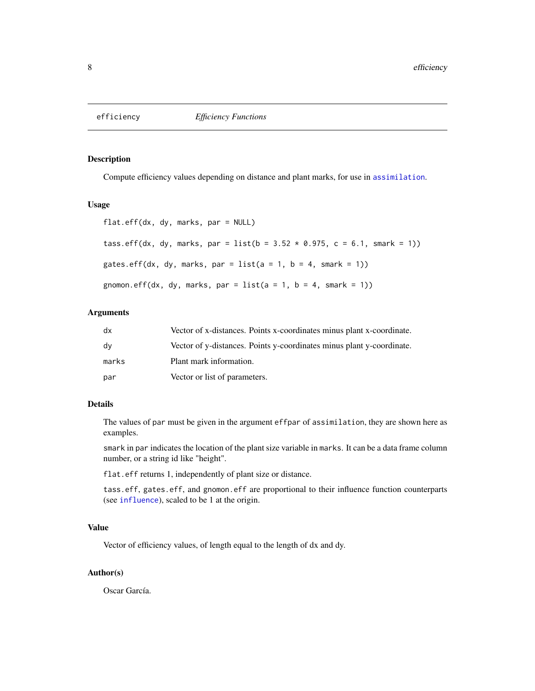<span id="page-7-1"></span><span id="page-7-0"></span>

# <span id="page-7-2"></span>Description

Compute efficiency values depending on distance and plant marks, for use in [assimilation](#page-2-1).

#### Usage

```
flat.eff(dx, dy, marks, par = NULL)
tass.eff(dx, dy, marks, par = list(b = 3.52 \times 0.975, c = 6.1, smark = 1))
gates.eff(dx, dy, marks, par = list(a = 1, b = 4, smark = 1))
gnomon.eff(dx, dy, marks, par = list(a = 1, b = 4, smart = 1))
```
#### Arguments

| dx    | Vector of x-distances. Points x-coordinates minus plant x-coordinate. |
|-------|-----------------------------------------------------------------------|
| dv    | Vector of y-distances. Points y-coordinates minus plant y-coordinate. |
| marks | Plant mark information.                                               |
| par   | Vector or list of parameters.                                         |

# Details

The values of par must be given in the argument effpar of assimilation, they are shown here as examples.

smark in par indicates the location of the plant size variable in marks. It can be a data frame column number, or a string id like "height".

flat.eff returns 1, independently of plant size or distance.

tass.eff, gates.eff, and gnomon.eff are proportional to their influence function counterparts (see [influence](#page-8-1)), scaled to be 1 at the origin.

#### Value

Vector of efficiency values, of length equal to the length of dx and dy.

#### Author(s)

Oscar García.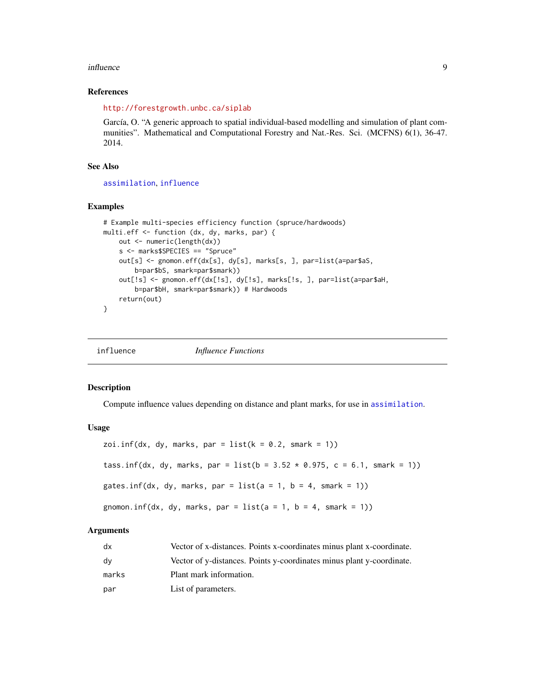#### <span id="page-8-0"></span>influence 9

#### References

<http://forestgrowth.unbc.ca/siplab>

García, O. "A generic approach to spatial individual-based modelling and simulation of plant communities". Mathematical and Computational Forestry and Nat.-Res. Sci. (MCFNS) 6(1), 36-47. 2014.

### See Also

[assimilation](#page-2-1), [influence](#page-8-1)

#### Examples

```
# Example multi-species efficiency function (spruce/hardwoods)
multi.eff <- function (dx, dy, marks, par) {
   out <- numeric(length(dx))
   s <- marks$SPECIES == "Spruce"
   out[s] <- gnomon.eff(dx[s], dy[s], marks[s, ], par=list(a=par$aS,
        b=par$bS, smark=par$smark))
    out[!s] <- gnomon.eff(dx[!s], dy[!s], marks[!s, ], par=list(a=par$aH,
        b=par$bH, smark=par$smark)) # Hardwoods
    return(out)
}
```
<span id="page-8-1"></span>influence *Influence Functions*

# <span id="page-8-2"></span>Description

Compute influence values depending on distance and plant marks, for use in [assimilation](#page-2-1).

# Usage

```
zoi.inf(dx, dy, marks, par = list(k = 0.2, snark = 1))tass.inf(dx, dy, marks, par = list(b = 3.52 \times 0.975, c = 6.1, smark = 1))
gates.inf(dx, dy, marks, par = list(a = 1, b = 4, smark = 1))
gnomon.inf(dx, dy, marks, par = list(a = 1, b = 4, smark = 1))
```
#### Arguments

| dx    | Vector of x-distances. Points x-coordinates minus plant x-coordinate. |
|-------|-----------------------------------------------------------------------|
| dv    | Vector of y-distances. Points y-coordinates minus plant y-coordinate. |
| marks | Plant mark information.                                               |
| par   | List of parameters.                                                   |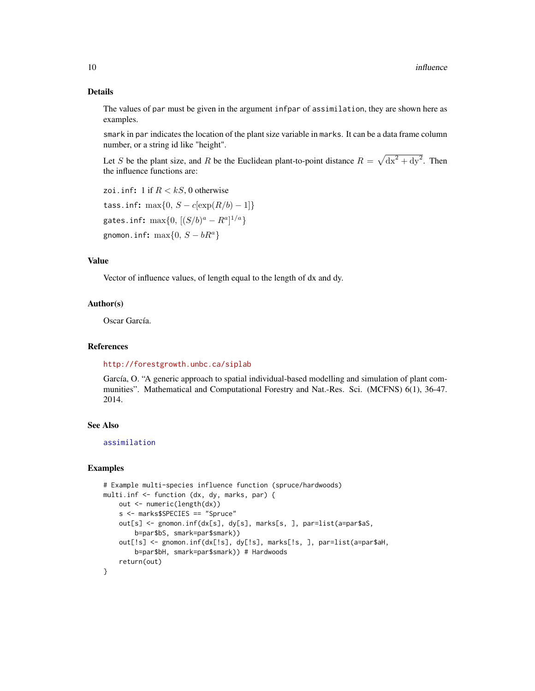# Details

The values of par must be given in the argument infpar of assimilation, they are shown here as examples.

smark in par indicates the location of the plant size variable in marks. It can be a data frame column number, or a string id like "height".

Let S be the plant size, and R be the Euclidean plant-to-point distance  $R = \sqrt{dx^2 + dy^2}$ . Then the influence functions are:

zoi.inf: 1 if  $R < kS$ , 0 otherwise tass.inf: max $\{0, S - c[\exp(R/b) - 1]\}$ gates.inf:  $\max\{0, \, [(S/b)^a - R^a]^{1/a}\}$ gnomon.inf:  $\max\{0, S - bR^a\}$ 

# Value

Vector of influence values, of length equal to the length of dx and dy.

#### Author(s)

Oscar García.

# References

<http://forestgrowth.unbc.ca/siplab>

García, O. "A generic approach to spatial individual-based modelling and simulation of plant communities". Mathematical and Computational Forestry and Nat.-Res. Sci. (MCFNS) 6(1), 36-47. 2014.

# See Also

[assimilation](#page-2-1)

#### Examples

```
# Example multi-species influence function (spruce/hardwoods)
multi.inf <- function (dx, dy, marks, par) {
   out <- numeric(length(dx))
   s <- marks$SPECIES == "Spruce"
   out[s] <- gnomon.inf(dx[s], dy[s], marks[s, ], par=list(a=par$aS,
       b=par$bS, smark=par$smark))
   out[!s] <- gnomon.inf(dx[!s], dy[!s], marks[!s, ], par=list(a=par$aH,
       b=par$bH, smark=par$smark)) # Hardwoods
   return(out)
}
```
<span id="page-9-0"></span>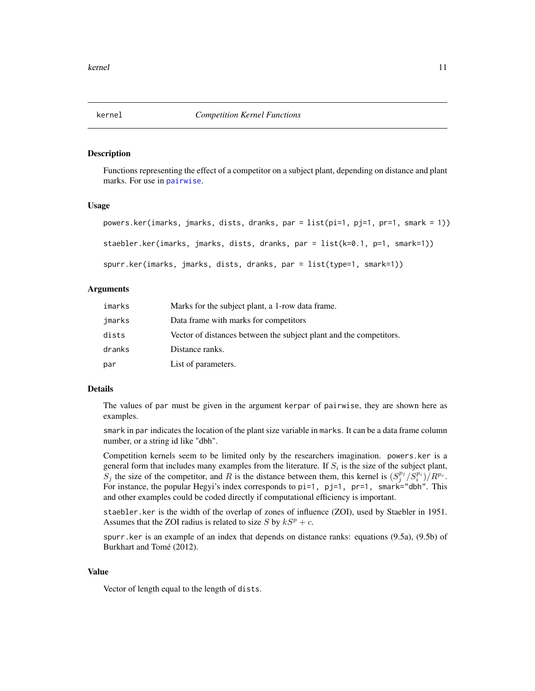# <span id="page-10-2"></span><span id="page-10-1"></span><span id="page-10-0"></span>Description

Functions representing the effect of a competitor on a subject plant, depending on distance and plant marks. For use in [pairwise](#page-11-1).

# Usage

```
powers.ker(imarks, jmarks, dists, dranks, par = list(pi=1, pj=1, pr=1, smark = 1))
staebler.ker(imarks, jmarks, dists, dranks, par = list(k=0.1, p=1, smark=1))
spurr.ker(imarks, jmarks, dists, dranks, par = list(type=1, smark=1))
```
# Arguments

| imarks | Marks for the subject plant, a 1-row data frame.                   |
|--------|--------------------------------------------------------------------|
| jmarks | Data frame with marks for competitors                              |
| dists  | Vector of distances between the subject plant and the competitors. |
| dranks | Distance ranks.                                                    |
| par    | List of parameters.                                                |

#### Details

The values of par must be given in the argument kerpar of pairwise, they are shown here as examples.

smark in par indicates the location of the plant size variable in marks. It can be a data frame column number, or a string id like "dbh".

Competition kernels seem to be limited only by the researchers imagination. powers.ker is a general form that includes many examples from the literature. If  $S_i$  is the size of the subject plant,  $S_j$  the size of the competitor, and R is the distance between them, this kernel is  $(S_j^{p_j}/S_i^{p_i})/R^{p_r}$ . For instance, the popular Hegyi's index corresponds to  $pi=1$ ,  $pi=1$ ,  $pr=1$ , smark="dbh". This and other examples could be coded directly if computational efficiency is important.

staebler.ker is the width of the overlap of zones of influence (ZOI), used by Staebler in 1951. Assumes that the ZOI radius is related to size S by  $kS^p + c$ .

spurr.ker is an example of an index that depends on distance ranks: equations (9.5a), (9.5b) of Burkhart and Tomé (2012).

# Value

Vector of length equal to the length of dists.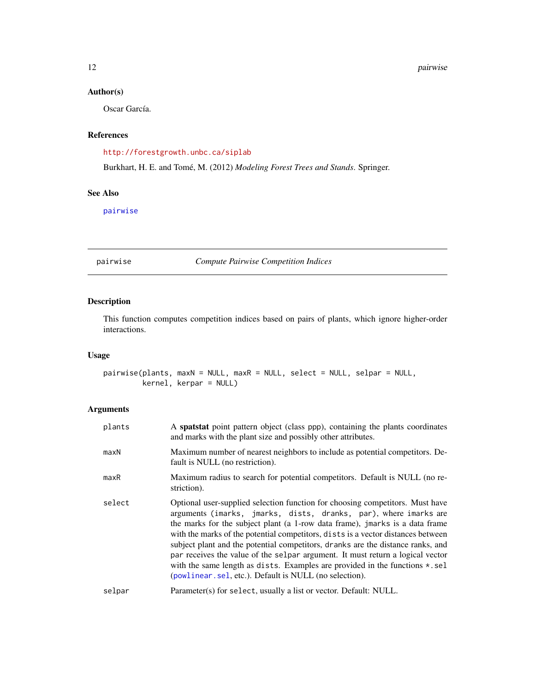# <span id="page-11-0"></span>Author(s)

Oscar García.

# References

<http://forestgrowth.unbc.ca/siplab>

Burkhart, H. E. and Tomé, M. (2012) *Modeling Forest Trees and Stands*. Springer.

# See Also

[pairwise](#page-11-1)

<span id="page-11-1"></span>pairwise *Compute Pairwise Competition Indices*

# Description

This function computes competition indices based on pairs of plants, which ignore higher-order interactions.

# Usage

```
pairwise(plants, maxN = NULL, maxR = NULL, select = NULL, selpar = NULL,
        kernel, kerpar = NULL)
```
# Arguments

| plants | A spatstat point pattern object (class ppp), containing the plants coordinates<br>and marks with the plant size and possibly other attributes.                                                                                                                                                                                                                                                                                                                                                                                                                                                                                               |
|--------|----------------------------------------------------------------------------------------------------------------------------------------------------------------------------------------------------------------------------------------------------------------------------------------------------------------------------------------------------------------------------------------------------------------------------------------------------------------------------------------------------------------------------------------------------------------------------------------------------------------------------------------------|
| maxN   | Maximum number of nearest neighbors to include as potential competitors. De-<br>fault is NULL (no restriction).                                                                                                                                                                                                                                                                                                                                                                                                                                                                                                                              |
| maxR   | Maximum radius to search for potential competitors. Default is NULL (no re-<br>striction).                                                                                                                                                                                                                                                                                                                                                                                                                                                                                                                                                   |
| select | Optional user-supplied selection function for choosing competitors. Must have<br>arguments (imarks, jmarks, dists, dranks, par), where imarks are<br>the marks for the subject plant (a 1-row data frame), jmarks is a data frame<br>with the marks of the potential competitors, dists is a vector distances between<br>subject plant and the potential competitors, dranks are the distance ranks, and<br>par receives the value of the selpar argument. It must return a logical vector<br>with the same length as dists. Examples are provided in the functions $\star$ . sel<br>(powlinear. sel, etc.). Default is NULL (no selection). |
| selpar | Parameter(s) for select, usually a list or vector. Default: NULL.                                                                                                                                                                                                                                                                                                                                                                                                                                                                                                                                                                            |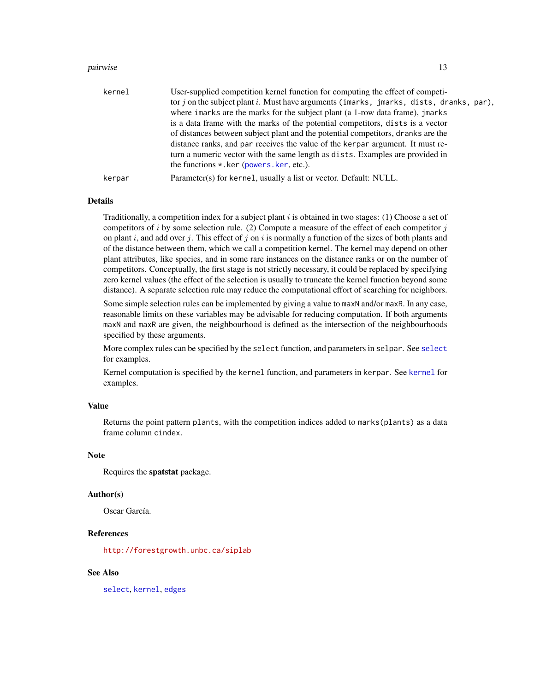#### <span id="page-12-0"></span>pairwise the contract of the contract of the contract of the contract of the contract of the contract of the contract of the contract of the contract of the contract of the contract of the contract of the contract of the c

| kernel | User-supplied competition kernel function for computing the effect of competi-<br>tor j on the subject plant i. Must have arguments (imarks, jmarks, dists, dranks, par),<br>where imarks are the marks for the subject plant (a 1-row data frame), jmarks<br>is a data frame with the marks of the potential competitors, dists is a vector<br>of distances between subject plant and the potential competitors, dranks are the<br>distance ranks, and par receives the value of the kerpar argument. It must re-<br>turn a numeric vector with the same length as dists. Examples are provided in<br>the functions $\star$ . ker (powers, ker, etc.). |
|--------|---------------------------------------------------------------------------------------------------------------------------------------------------------------------------------------------------------------------------------------------------------------------------------------------------------------------------------------------------------------------------------------------------------------------------------------------------------------------------------------------------------------------------------------------------------------------------------------------------------------------------------------------------------|
| kerpar | Parameter(s) for kernel, usually a list or vector. Default: NULL.                                                                                                                                                                                                                                                                                                                                                                                                                                                                                                                                                                                       |

# Details

Traditionally, a competition index for a subject plant i is obtained in two stages: (1) Choose a set of competitors of i by some selection rule. (2) Compute a measure of the effect of each competitor  $j$ on plant i, and add over j. This effect of j on i is normally a function of the sizes of both plants and of the distance between them, which we call a competition kernel. The kernel may depend on other plant attributes, like species, and in some rare instances on the distance ranks or on the number of competitors. Conceptually, the first stage is not strictly necessary, it could be replaced by specifying zero kernel values (the effect of the selection is usually to truncate the kernel function beyond some distance). A separate selection rule may reduce the computational effort of searching for neighbors.

Some simple selection rules can be implemented by giving a value to maxN and/or maxR. In any case, reasonable limits on these variables may be advisable for reducing computation. If both arguments maxN and maxR are given, the neighbourhood is defined as the intersection of the neighbourhoods specified by these arguments.

More complex rules can be specified by the select function, and parameters in selpar. See [select](#page-13-2) for examples.

Kernel computation is specified by the kernel function, and parameters in kerpar. See [kernel](#page-10-2) for examples.

#### Value

Returns the point pattern plants, with the competition indices added to marks(plants) as a data frame column cindex.

#### Note

Requires the spatstat package.

#### Author(s)

Oscar García.

#### References

<http://forestgrowth.unbc.ca/siplab>

#### See Also

[select](#page-13-2), [kernel](#page-10-2), [edges](#page-5-1)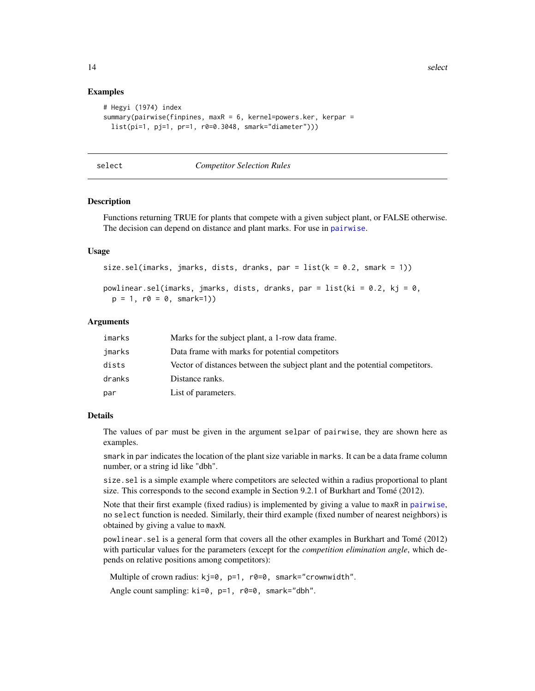<span id="page-13-0"></span>14 select

#### Examples

```
# Hegyi (1974) index
summary(pairwise(finpines, maxR = 6, kernel=powers.ker, kerpar =
 list(pi=1, pj=1, pr=1, r0=0.3048, smark="diameter")))
```
<span id="page-13-2"></span>

#### select *Competitor Selection Rules*

#### <span id="page-13-1"></span>Description

Functions returning TRUE for plants that compete with a given subject plant, or FALSE otherwise. The decision can depend on distance and plant marks. For use in [pairwise](#page-11-1).

### Usage

```
size.sel(imarks, jmarks, dists, dranks, par = list(k = 0.2, smart = 1))
```

```
powlinear.sel(imarks, jmarks, dists, dranks, par = list(ki = 0.2, kj = 0,
 p = 1, r0 = 0, smark=1))
```
# Arguments

| imarks | Marks for the subject plant, a 1-row data frame.                             |
|--------|------------------------------------------------------------------------------|
| jmarks | Data frame with marks for potential competitors                              |
| dists  | Vector of distances between the subject plant and the potential competitors. |
| dranks | Distance ranks.                                                              |
| par    | List of parameters.                                                          |

#### Details

The values of par must be given in the argument selpar of pairwise, they are shown here as examples.

smark in par indicates the location of the plant size variable in marks. It can be a data frame column number, or a string id like "dbh".

size.sel is a simple example where competitors are selected within a radius proportional to plant size. This corresponds to the second example in Section 9.2.1 of Burkhart and Tomé (2012).

Note that their first example (fixed radius) is implemented by giving a value to maxR in [pairwise](#page-11-1), no select function is needed. Similarly, their third example (fixed number of nearest neighbors) is obtained by giving a value to maxN.

powlinear.sel is a general form that covers all the other examples in Burkhart and Tomé (2012) with particular values for the parameters (except for the *competition elimination angle*, which depends on relative positions among competitors):

Multiple of crown radius: kj=0, p=1, r0=0, smark="crownwidth".

Angle count sampling: ki=0, p=1, r0=0, smark="dbh".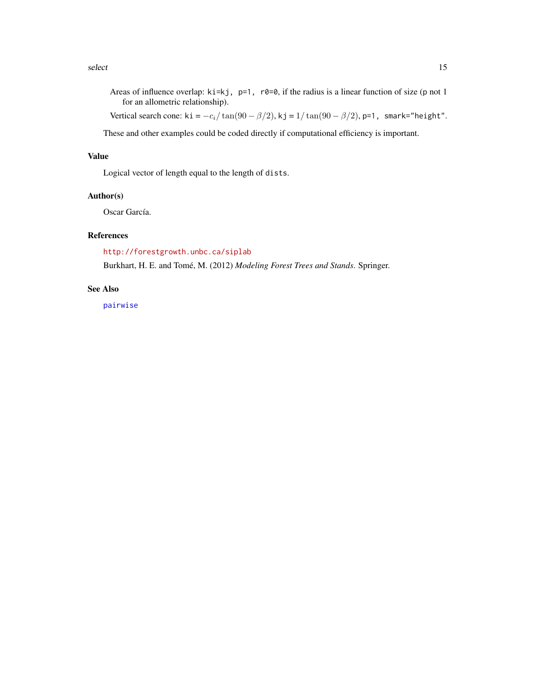<span id="page-14-0"></span>select and the select of the select select  $\sim$  15

Areas of influence overlap:  $ki=kj$ ,  $p=1$ ,  $r\theta=0$ , if the radius is a linear function of size (p not 1 for an allometric relationship).

Vertical search cone: ki =  $-c_i/\tan(90 - \beta/2)$ , kj =  $1/\tan(90 - \beta/2)$ , p=1, smark="height".

These and other examples could be coded directly if computational efficiency is important.

# Value

Logical vector of length equal to the length of dists.

# Author(s)

Oscar García.

# References

<http://forestgrowth.unbc.ca/siplab>

Burkhart, H. E. and Tomé, M. (2012) *Modeling Forest Trees and Stands*. Springer.

# See Also

[pairwise](#page-11-1)